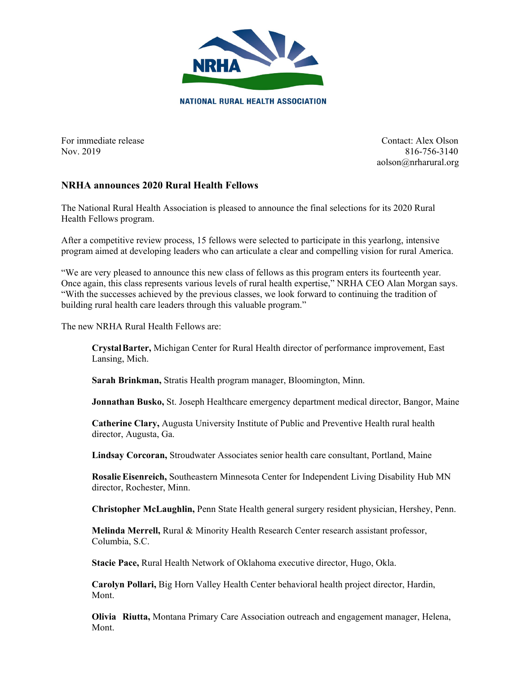

For immediate release Contact: Alex Olson Nov. 2019 816-756-3140 aolson@nrharural.org

## **NRHA announces 2020 Rural Health Fellows**

The National Rural Health Association is pleased to announce the final selections for its 2020 Rural Health Fellows program.

After a competitive review process, 15 fellows were selected to participate in this yearlong, intensive program aimed at developing leaders who can articulate a clear and compelling vision for rural America.

"We are very pleased to announce this new class of fellows as this program enters its fourteenth year. Once again, this class represents various levels of rural health expertise," NRHA CEO Alan Morgan says. "With the successes achieved by the previous classes, we look forward to continuing the tradition of building rural health care leaders through this valuable program."

The new NRHA Rural Health Fellows are:

**CrystalBarter,** Michigan Center for Rural Health director of performance improvement, East Lansing, Mich.

**Sarah Brinkman,** Stratis Health program manager, Bloomington, Minn.

**Jonnathan Busko, St. Joseph Healthcare emergency department medical director, Bangor, Maine** 

**Catherine Clary,** Augusta University Institute of Public and Preventive Health rural health director, Augusta, Ga.

**Lindsay Corcoran,** Stroudwater Associates senior health care consultant, Portland, Maine

**RosalieEisenreich,** Southeastern Minnesota Center for Independent Living Disability Hub MN director, Rochester, Minn.

**Christopher McLaughlin,** Penn State Health general surgery resident physician, Hershey, Penn.

**Melinda Merrell,** Rural & Minority Health Research Center research assistant professor, Columbia, S.C.

**Stacie Pace,** Rural Health Network of Oklahoma executive director, Hugo, Okla.

**Carolyn Pollari,** Big Horn Valley Health Center behavioral health project director, Hardin, Mont.

**Olivia Riutta,** Montana Primary Care Association outreach and engagement manager, Helena, Mont.